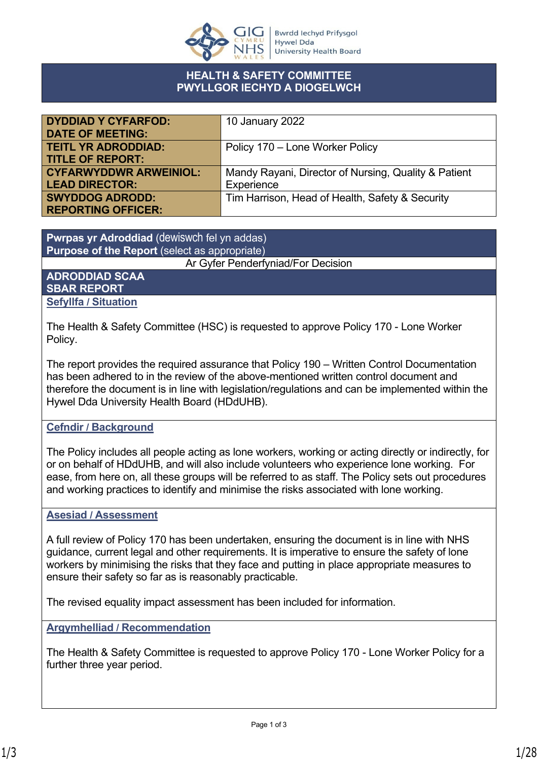

#### **HEALTH & SAFETY COMMITTEE PWYLLGOR IECHYD A DIOGELWCH**

| <b>DYDDIAD Y CYFARFOD:</b>    | 10 January 2022                                      |
|-------------------------------|------------------------------------------------------|
| <b>DATE OF MEETING:</b>       |                                                      |
| <b>TEITL YR ADRODDIAD:</b>    | Policy 170 – Lone Worker Policy                      |
| <b>TITLE OF REPORT:</b>       |                                                      |
| <b>CYFARWYDDWR ARWEINIOL:</b> | Mandy Rayani, Director of Nursing, Quality & Patient |
| <b>LEAD DIRECTOR:</b>         | Experience                                           |
| <b>SWYDDOG ADRODD:</b>        | Tim Harrison, Head of Health, Safety & Security      |
| <b>REPORTING OFFICER:</b>     |                                                      |

**Pwrpas yr Adroddiad** (dewiswch fel yn addas) **Purpose of the Report** (select as appropriate)

Ar Gyfer Penderfyniad/For Decision

#### **ADRODDIAD SCAA SBAR REPORT Sefyllfa / Situation**

The Health & Safety Committee (HSC) is requested to approve Policy 170 - Lone Worker Policy.

The report provides the required assurance that Policy 190 – Written Control Documentation has been adhered to in the review of the above-mentioned written control document and therefore the document is in line with legislation/regulations and can be implemented within the Hywel Dda University Health Board (HDdUHB).

### **Cefndir / Background**

The Policy includes all people acting as lone workers, working or acting directly or indirectly, for or on behalf of HDdUHB, and will also include volunteers who experience lone working. For ease, from here on, all these groups will be referred to as staff. The Policy sets out procedures and working practices to identify and minimise the risks associated with lone working.

#### **Asesiad / Assessment**

A full review of Policy 170 has been undertaken, ensuring the document is in line with NHS guidance, current legal and other requirements. It is imperative to ensure the safety of lone workers by minimising the risks that they face and putting in place appropriate measures to ensure their safety so far as is reasonably practicable.

The revised equality impact assessment has been included for information.

#### **Argymhelliad / Recommendation**

The Health & Safety Committee is requested to approve Policy 170 - Lone Worker Policy for a further three year period.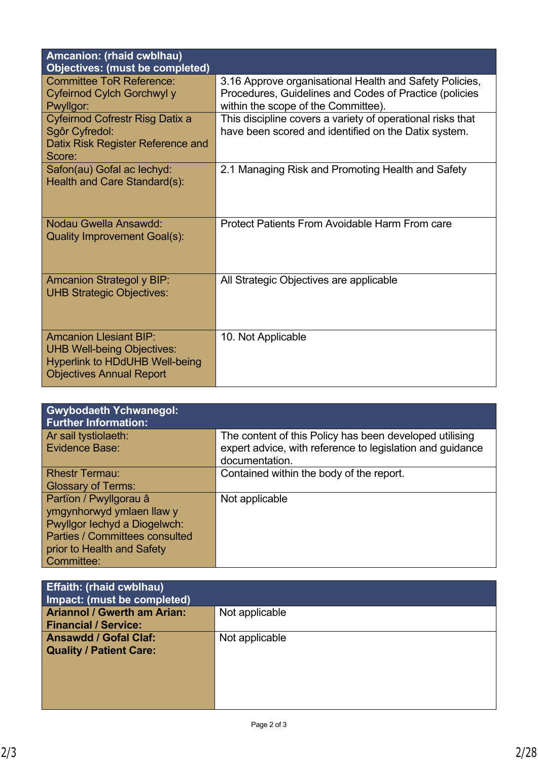| Amcanion: (rhaid cwblhau)<br><b>Objectives: (must be completed)</b>                                                                            |                                                                                                                                                          |
|------------------------------------------------------------------------------------------------------------------------------------------------|----------------------------------------------------------------------------------------------------------------------------------------------------------|
| <b>Committee ToR Reference:</b><br>Cyfeirnod Cylch Gorchwyl y<br>Pwyllgor:                                                                     | 3.16 Approve organisational Health and Safety Policies,<br>Procedures, Guidelines and Codes of Practice (policies<br>within the scope of the Committee). |
| Cyfeirnod Cofrestr Risg Datix a<br>Sgôr Cyfredol:<br>Datix Risk Register Reference and<br>Score:                                               | This discipline covers a variety of operational risks that<br>have been scored and identified on the Datix system.                                       |
| Safon(au) Gofal ac lechyd:<br>Health and Care Standard(s):                                                                                     | 2.1 Managing Risk and Promoting Health and Safety                                                                                                        |
| Nodau Gwella Ansawdd:<br><b>Quality Improvement Goal(s):</b>                                                                                   | Protect Patients From Avoidable Harm From care                                                                                                           |
| <b>Amcanion Strategol y BIP:</b><br><b>UHB Strategic Objectives:</b>                                                                           | All Strategic Objectives are applicable                                                                                                                  |
| <b>Amcanion Llesiant BIP:</b><br><b>UHB Well-being Objectives:</b><br><b>Hyperlink to HDdUHB Well-being</b><br><b>Objectives Annual Report</b> | 10. Not Applicable                                                                                                                                       |

| <b>Gwybodaeth Ychwanegol:</b><br><b>Further Information:</b> |                                                                                                                      |
|--------------------------------------------------------------|----------------------------------------------------------------------------------------------------------------------|
| Ar sail tystiolaeth:<br>Evidence Base:                       | The content of this Policy has been developed utilising<br>expert advice, with reference to legislation and guidance |
|                                                              | documentation.                                                                                                       |
| <b>Rhestr Termau:</b>                                        | Contained within the body of the report.                                                                             |
| <b>Glossary of Terms:</b>                                    |                                                                                                                      |
| Partïon / Pwyllgorau â                                       | Not applicable                                                                                                       |
| ymgynhorwyd ymlaen llaw y                                    |                                                                                                                      |
| Pwyllgor lechyd a Diogelwch:                                 |                                                                                                                      |
| <b>Parties / Committees consulted</b>                        |                                                                                                                      |
| prior to Health and Safety                                   |                                                                                                                      |
| Committee:                                                   |                                                                                                                      |

| <b>Effaith: (rhaid cwblhau)</b><br>Impact: (must be completed)    |                |
|-------------------------------------------------------------------|----------------|
| <b>Ariannol / Gwerth am Arian:</b><br><b>Financial / Service:</b> | Not applicable |
| <b>Ansawdd / Gofal Claf:</b><br><b>Quality / Patient Care:</b>    | Not applicable |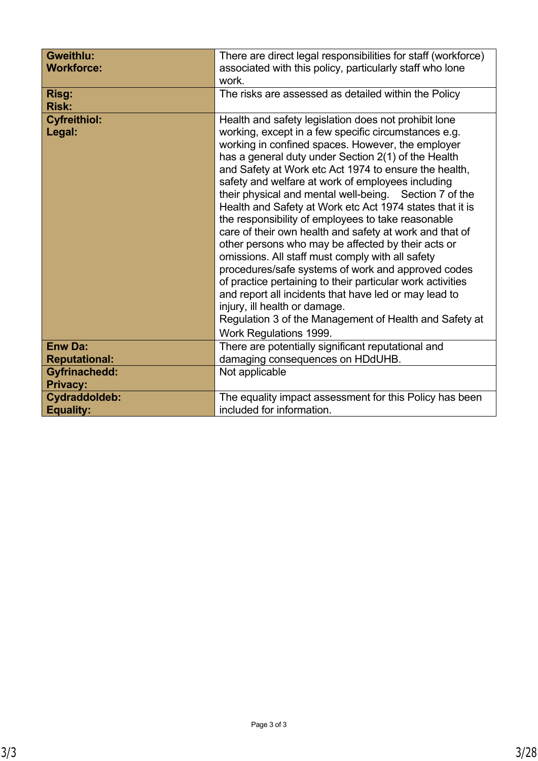| Gweithlu:<br><b>Workforce:</b>               | There are direct legal responsibilities for staff (workforce)<br>associated with this policy, particularly staff who lone<br>work.                                                                                                                                                                                                                                                                                                                                                                                                                                                                                                                                                                                                                                                                                                                                                                                                                                                        |  |  |
|----------------------------------------------|-------------------------------------------------------------------------------------------------------------------------------------------------------------------------------------------------------------------------------------------------------------------------------------------------------------------------------------------------------------------------------------------------------------------------------------------------------------------------------------------------------------------------------------------------------------------------------------------------------------------------------------------------------------------------------------------------------------------------------------------------------------------------------------------------------------------------------------------------------------------------------------------------------------------------------------------------------------------------------------------|--|--|
| Risg:<br><b>Risk:</b>                        | The risks are assessed as detailed within the Policy                                                                                                                                                                                                                                                                                                                                                                                                                                                                                                                                                                                                                                                                                                                                                                                                                                                                                                                                      |  |  |
| <b>Cyfreithiol:</b><br>Legal:                | Health and safety legislation does not prohibit lone<br>working, except in a few specific circumstances e.g.<br>working in confined spaces. However, the employer<br>has a general duty under Section 2(1) of the Health<br>and Safety at Work etc Act 1974 to ensure the health,<br>safety and welfare at work of employees including<br>their physical and mental well-being. Section 7 of the<br>Health and Safety at Work etc Act 1974 states that it is<br>the responsibility of employees to take reasonable<br>care of their own health and safety at work and that of<br>other persons who may be affected by their acts or<br>omissions. All staff must comply with all safety<br>procedures/safe systems of work and approved codes<br>of practice pertaining to their particular work activities<br>and report all incidents that have led or may lead to<br>injury, ill health or damage.<br>Regulation 3 of the Management of Health and Safety at<br>Work Regulations 1999. |  |  |
| <b>Enw Da:</b>                               | There are potentially significant reputational and                                                                                                                                                                                                                                                                                                                                                                                                                                                                                                                                                                                                                                                                                                                                                                                                                                                                                                                                        |  |  |
| <b>Reputational:</b><br><b>Gyfrinachedd:</b> | damaging consequences on HDdUHB.<br>Not applicable                                                                                                                                                                                                                                                                                                                                                                                                                                                                                                                                                                                                                                                                                                                                                                                                                                                                                                                                        |  |  |
| <b>Privacy:</b>                              |                                                                                                                                                                                                                                                                                                                                                                                                                                                                                                                                                                                                                                                                                                                                                                                                                                                                                                                                                                                           |  |  |
| Cydraddoldeb:<br><b>Equality:</b>            | The equality impact assessment for this Policy has been<br>included for information.                                                                                                                                                                                                                                                                                                                                                                                                                                                                                                                                                                                                                                                                                                                                                                                                                                                                                                      |  |  |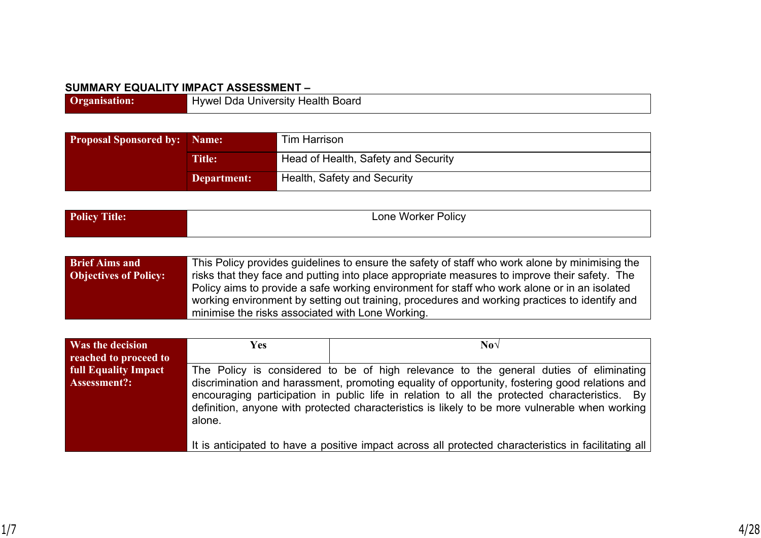#### **SUMMARY EQUALITY IMPACT ASSESSMENT –**

| Organis | Hywel Dda University Health<br>Board |
|---------|--------------------------------------|

| <b>Proposal Sponsored by: Name:</b> |             | Tim Harrison                        |  |
|-------------------------------------|-------------|-------------------------------------|--|
| <b>Title:</b>                       |             | Head of Health, Safety and Security |  |
|                                     | Department: | Health, Safety and Security         |  |

| Policy<br><b>CELL</b><br>ntle:<br>$\perp$ UHC | . .<br>one<br>$\mathop{}_{\textstyle\sim}$ olicy<br>. Worker |
|-----------------------------------------------|--------------------------------------------------------------|
|                                               |                                                              |

| <b>Brief Aims and</b>        | This Policy provides guidelines to ensure the safety of staff who work alone by minimising the                                                                                                |
|------------------------------|-----------------------------------------------------------------------------------------------------------------------------------------------------------------------------------------------|
| <b>Objectives of Policy:</b> | risks that they face and putting into place appropriate measures to improve their safety. The                                                                                                 |
|                              | Policy aims to provide a safe working environment for staff who work alone or in an isolated<br>working environment by setting out training, procedures and working practices to identify and |
|                              | minimise the risks associated with Lone Working.                                                                                                                                              |

| Was the decision            | Yes                                                                                                                                                                                                                                                                                                         | $\bf{N}$ o $\sqrt{ }$                                                                                |
|-----------------------------|-------------------------------------------------------------------------------------------------------------------------------------------------------------------------------------------------------------------------------------------------------------------------------------------------------------|------------------------------------------------------------------------------------------------------|
| reached to proceed to       |                                                                                                                                                                                                                                                                                                             |                                                                                                      |
| <b>full Equality Impact</b> |                                                                                                                                                                                                                                                                                                             | The Policy is considered to be of high relevance to the general duties of eliminating                |
| Assessment?:                | discrimination and harassment, promoting equality of opportunity, fostering good relations and<br>encouraging participation in public life in relation to all the protected characteristics. By<br>definition, anyone with protected characteristics is likely to be more vulnerable when working<br>alone. |                                                                                                      |
|                             |                                                                                                                                                                                                                                                                                                             | It is anticipated to have a positive impact across all protected characteristics in facilitating all |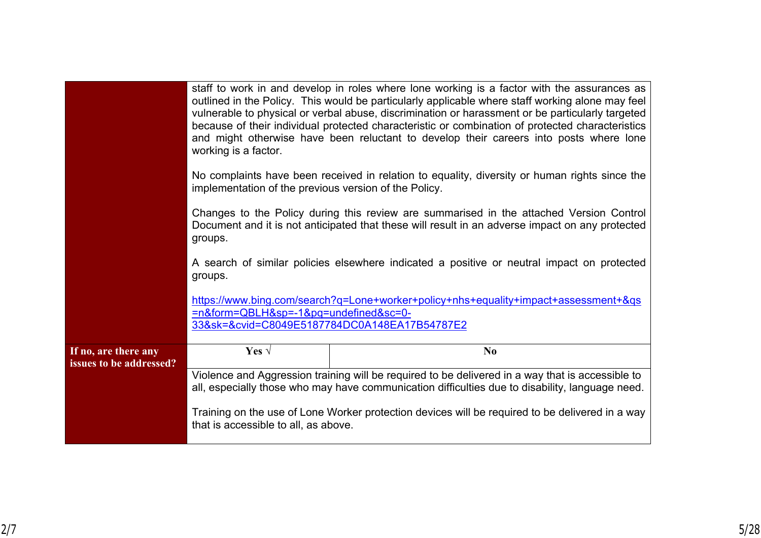|                                                 | staff to work in and develop in roles where lone working is a factor with the assurances as<br>outlined in the Policy. This would be particularly applicable where staff working alone may feel<br>vulnerable to physical or verbal abuse, discrimination or harassment or be particularly targeted<br>because of their individual protected characteristic or combination of protected characteristics<br>and might otherwise have been reluctant to develop their careers into posts where lone<br>working is a factor.<br>No complaints have been received in relation to equality, diversity or human rights since the<br>implementation of the previous version of the Policy.<br>Changes to the Policy during this review are summarised in the attached Version Control<br>Document and it is not anticipated that these will result in an adverse impact on any protected<br>groups.<br>A search of similar policies elsewhere indicated a positive or neutral impact on protected<br>groups. |                                                                                                                                                                                                     |  |
|-------------------------------------------------|-------------------------------------------------------------------------------------------------------------------------------------------------------------------------------------------------------------------------------------------------------------------------------------------------------------------------------------------------------------------------------------------------------------------------------------------------------------------------------------------------------------------------------------------------------------------------------------------------------------------------------------------------------------------------------------------------------------------------------------------------------------------------------------------------------------------------------------------------------------------------------------------------------------------------------------------------------------------------------------------------------|-----------------------------------------------------------------------------------------------------------------------------------------------------------------------------------------------------|--|
|                                                 |                                                                                                                                                                                                                                                                                                                                                                                                                                                                                                                                                                                                                                                                                                                                                                                                                                                                                                                                                                                                       |                                                                                                                                                                                                     |  |
|                                                 |                                                                                                                                                                                                                                                                                                                                                                                                                                                                                                                                                                                                                                                                                                                                                                                                                                                                                                                                                                                                       |                                                                                                                                                                                                     |  |
|                                                 |                                                                                                                                                                                                                                                                                                                                                                                                                                                                                                                                                                                                                                                                                                                                                                                                                                                                                                                                                                                                       |                                                                                                                                                                                                     |  |
|                                                 | =n&form=QBLH&sp=-1&pq=undefined≻=0-                                                                                                                                                                                                                                                                                                                                                                                                                                                                                                                                                                                                                                                                                                                                                                                                                                                                                                                                                                   | https://www.bing.com/search?q=Lone+worker+policy+nhs+equality+impact+assessment+&qs<br>33&sk=&cvid=C8049E5187784DC0A148EA17B54787E2                                                                 |  |
| If no, are there any<br>issues to be addressed? | Yes $\sqrt$                                                                                                                                                                                                                                                                                                                                                                                                                                                                                                                                                                                                                                                                                                                                                                                                                                                                                                                                                                                           | N <sub>0</sub>                                                                                                                                                                                      |  |
|                                                 |                                                                                                                                                                                                                                                                                                                                                                                                                                                                                                                                                                                                                                                                                                                                                                                                                                                                                                                                                                                                       | Violence and Aggression training will be required to be delivered in a way that is accessible to<br>all, especially those who may have communication difficulties due to disability, language need. |  |
|                                                 | that is accessible to all, as above.                                                                                                                                                                                                                                                                                                                                                                                                                                                                                                                                                                                                                                                                                                                                                                                                                                                                                                                                                                  | Training on the use of Lone Worker protection devices will be required to be delivered in a way                                                                                                     |  |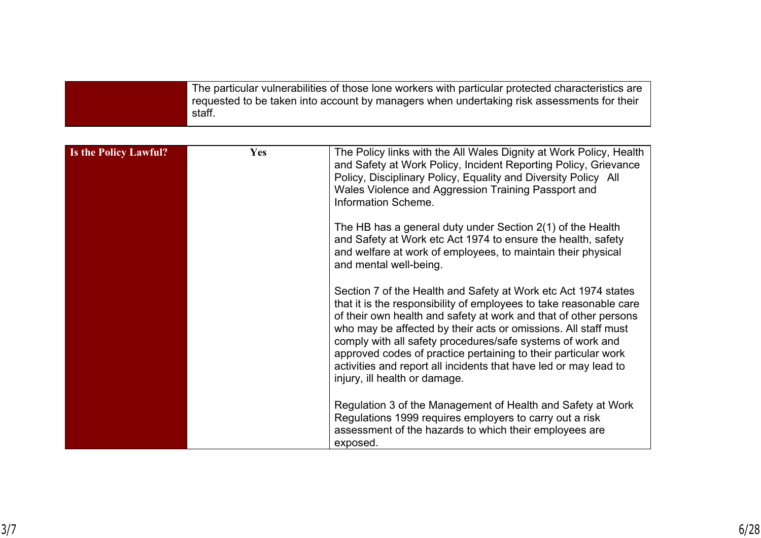| Is the Policy Lawful? | <b>Yes</b> | The Policy links with the All Wales Dignity at Work Policy, Health<br>and Safety at Work Policy, Incident Reporting Policy, Grievance<br>Policy, Disciplinary Policy, Equality and Diversity Policy All<br>Wales Violence and Aggression Training Passport and<br>Information Scheme.                                                                                                                                                                                                                           |
|-----------------------|------------|-----------------------------------------------------------------------------------------------------------------------------------------------------------------------------------------------------------------------------------------------------------------------------------------------------------------------------------------------------------------------------------------------------------------------------------------------------------------------------------------------------------------|
|                       |            | The HB has a general duty under Section 2(1) of the Health<br>and Safety at Work etc Act 1974 to ensure the health, safety<br>and welfare at work of employees, to maintain their physical<br>and mental well-being.                                                                                                                                                                                                                                                                                            |
|                       |            | Section 7 of the Health and Safety at Work etc Act 1974 states<br>that it is the responsibility of employees to take reasonable care<br>of their own health and safety at work and that of other persons<br>who may be affected by their acts or omissions. All staff must<br>comply with all safety procedures/safe systems of work and<br>approved codes of practice pertaining to their particular work<br>activities and report all incidents that have led or may lead to<br>injury, ill health or damage. |
|                       |            | Regulation 3 of the Management of Health and Safety at Work<br>Regulations 1999 requires employers to carry out a risk<br>assessment of the hazards to which their employees are<br>exposed.                                                                                                                                                                                                                                                                                                                    |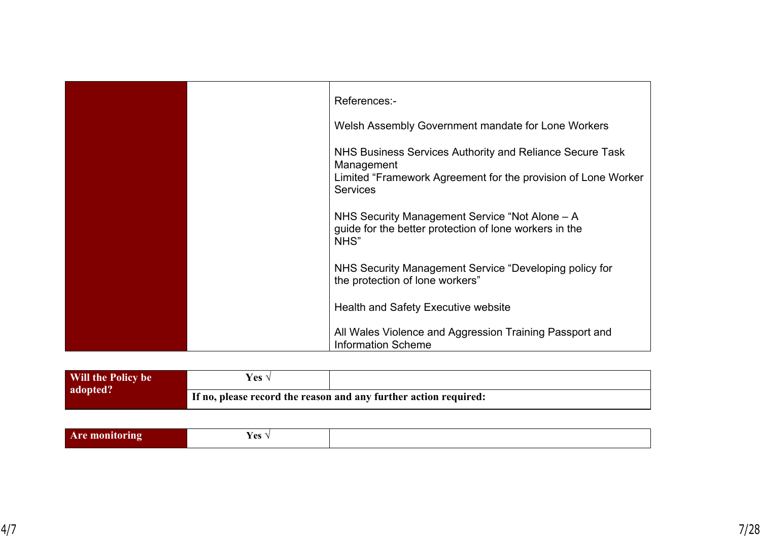|  | References:-                                                                                                                            |
|--|-----------------------------------------------------------------------------------------------------------------------------------------|
|  | Welsh Assembly Government mandate for Lone Workers                                                                                      |
|  | NHS Business Services Authority and Reliance Secure Task<br>Management<br>Limited "Framework Agreement for the provision of Lone Worker |
|  | <b>Services</b>                                                                                                                         |
|  | NHS Security Management Service "Not Alone – A<br>guide for the better protection of lone workers in the<br>NHS"                        |
|  | NHS Security Management Service "Developing policy for<br>the protection of lone workers"                                               |
|  | <b>Health and Safety Executive website</b>                                                                                              |
|  | All Wales Violence and Aggression Training Passport and<br><b>Information Scheme</b>                                                    |

| Will the Policy be | Yes ∿ |                                                                  |
|--------------------|-------|------------------------------------------------------------------|
| adopted?           |       | If no, please record the reason and any further action required: |

|  | ים ⊿<br>$\sim$ |  |
|--|----------------|--|
|--|----------------|--|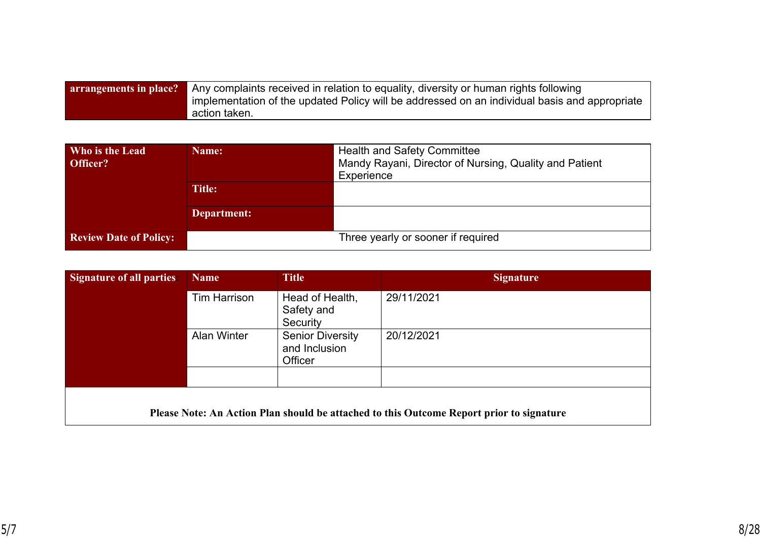| <b>arrangements in place?</b> Any complaints received in relation to equality, diversity or human rights following |
|--------------------------------------------------------------------------------------------------------------------|
| implementation of the updated Policy will be addressed on an individual basis and appropriate                      |
| action taken.                                                                                                      |

| Who is the Lead<br>Officer?   | Name:         | <b>Health and Safety Committee</b><br>Mandy Rayani, Director of Nursing, Quality and Patient<br>Experience |
|-------------------------------|---------------|------------------------------------------------------------------------------------------------------------|
|                               | <b>Title:</b> |                                                                                                            |
|                               | Department:   |                                                                                                            |
| <b>Review Date of Policy:</b> |               | Three yearly or sooner if required                                                                         |

| <b>Signature of all parties:</b> | <b>Name</b>         | <b>Title</b>                                        | <b>Signature</b>                                                                         |
|----------------------------------|---------------------|-----------------------------------------------------|------------------------------------------------------------------------------------------|
|                                  | <b>Tim Harrison</b> | Head of Health,<br>Safety and<br>Security           | 29/11/2021                                                                               |
|                                  | <b>Alan Winter</b>  | <b>Senior Diversity</b><br>and Inclusion<br>Officer | 20/12/2021                                                                               |
|                                  |                     |                                                     |                                                                                          |
|                                  |                     |                                                     | Please Note: An Action Plan should be attached to this Outcome Report prior to signature |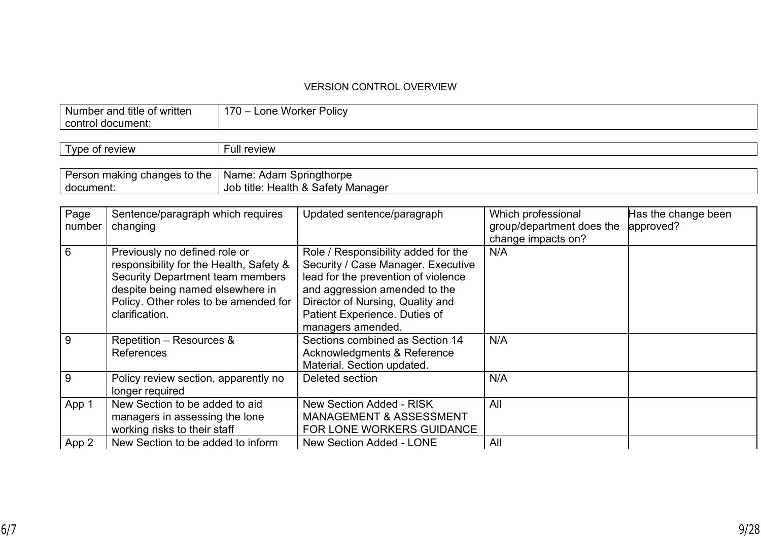#### VERSION CONTROL OVERVIEW

| .            | $170 - 1$ |
|--------------|-----------|
| title        | .         |
| e of written | Policy    |
| Numbe        | Worker    |
| and          | one.      |
|              |           |
|              |           |
| contro       |           |
| document:    |           |
|              |           |

| $\overline{\phantom{0}}$<br>review<br>Tvne<br>ОТ | -ull review |
|--------------------------------------------------|-------------|
|                                                  |             |

| Person making changes to the $\parallel$ Name: Adam Springthorpe |                                    |
|------------------------------------------------------------------|------------------------------------|
| document:                                                        | Job title: Health & Safety Manager |

| Page<br>number | Sentence/paragraph which requires<br>changing | Updated sentence/paragraph          | Which professional<br>group/department does the | Has the change been<br>approved? |
|----------------|-----------------------------------------------|-------------------------------------|-------------------------------------------------|----------------------------------|
|                |                                               |                                     | change impacts on?                              |                                  |
| 6              | Previously no defined role or                 | Role / Responsibility added for the | N/A                                             |                                  |
|                | responsibility for the Health, Safety &       | Security / Case Manager. Executive  |                                                 |                                  |
|                | <b>Security Department team members</b>       | lead for the prevention of violence |                                                 |                                  |
|                | despite being named elsewhere in              | and aggression amended to the       |                                                 |                                  |
|                | Policy. Other roles to be amended for         | Director of Nursing, Quality and    |                                                 |                                  |
|                | clarification.                                | Patient Experience. Duties of       |                                                 |                                  |
|                |                                               | managers amended.                   |                                                 |                                  |
| 9              | Repetition - Resources &                      | Sections combined as Section 14     | N/A                                             |                                  |
|                | <b>References</b>                             | Acknowledgments & Reference         |                                                 |                                  |
|                |                                               | Material. Section updated.          |                                                 |                                  |
| 9              | Policy review section, apparently no          | Deleted section                     | N/A                                             |                                  |
|                | longer required                               |                                     |                                                 |                                  |
| App 1          | New Section to be added to aid                | New Section Added - RISK            | All                                             |                                  |
|                | managers in assessing the lone                | <b>MANAGEMENT &amp; ASSESSMENT</b>  |                                                 |                                  |
|                | working risks to their staff                  | FOR LONE WORKERS GUIDANCE           |                                                 |                                  |
| App 2          | New Section to be added to inform             | <b>New Section Added - LONE</b>     | All                                             |                                  |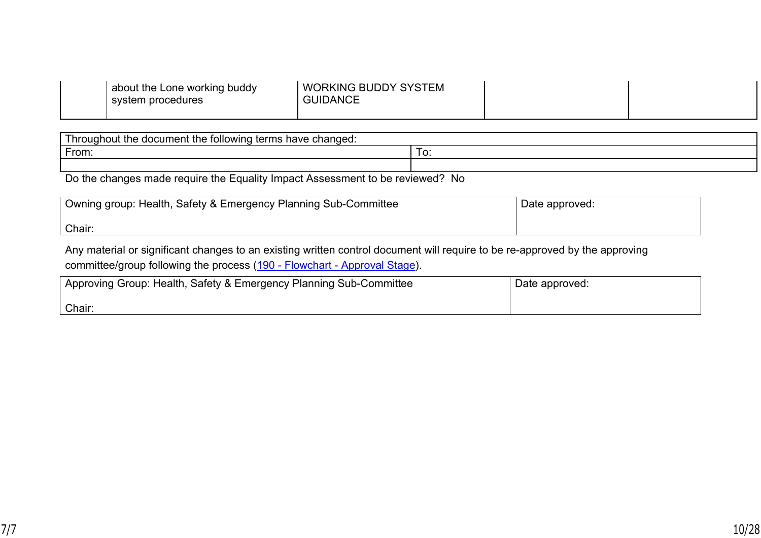| <b>GUIDANCE</b> | <b>WORKING BUDDY SYSTEM</b> |  |
|-----------------|-----------------------------|--|
|-----------------|-----------------------------|--|

| have<br>changed:<br>tarme<br>∴unn∩⊔<br>ıcı imen<br>th۵.<br>lowinc<br>∟∩ר<br>- Inc<br>- 11<br>.<br>יי<br>ייטווטו<br>. .<br>_________ |  |  |  |
|-------------------------------------------------------------------------------------------------------------------------------------|--|--|--|
| $\overline{\phantom{0}}$<br>From:<br>. U                                                                                            |  |  |  |
|                                                                                                                                     |  |  |  |

Do the changes made require the Equality Impact Assessment to be reviewed? No

| Owning group: Health, Safety & Emergency Planning Sub-Committee | Date approved: |
|-----------------------------------------------------------------|----------------|
| Chair:                                                          |                |

Any material or significant changes to an existing written control document will require to be re-approved by the approving committee/group following the process [\(190 - Flowchart - Approval Stage\)](http://howis.wales.nhs.uk/cascade/v4apages/opendoc/428830).

| │ Approving Group: Health, Safety & Emergency Planning Sub-Committee | Date approved: |
|----------------------------------------------------------------------|----------------|
| Chair:                                                               |                |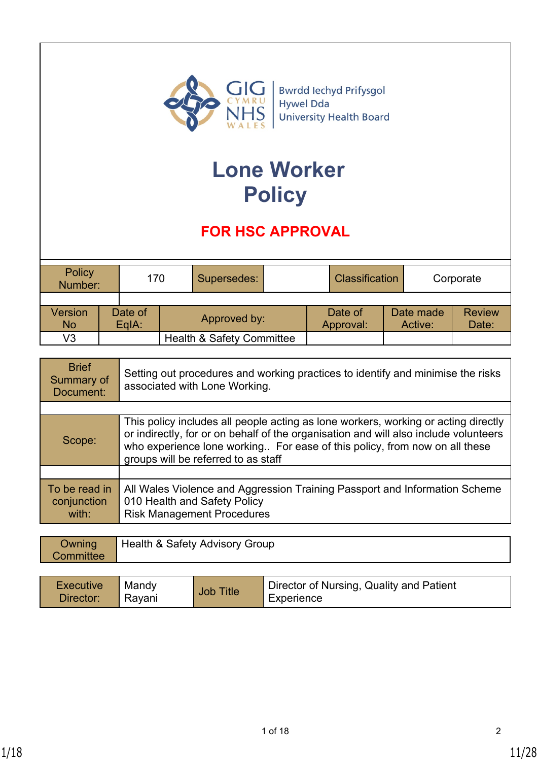

# **Lone Worker Policy**

# **FOR HSC APPROVAL**

| Policy<br>Number: | 170     |  | Supersedes:                          |  | <b>Classification</b> |           | Corporate     |
|-------------------|---------|--|--------------------------------------|--|-----------------------|-----------|---------------|
|                   |         |  |                                      |  |                       |           |               |
| Version           | Date of |  | Approved by:                         |  | Date of               | Date made | <b>Review</b> |
| <b>No</b>         | EqIA:   |  |                                      |  | Approval:             | Active:   | Date:         |
| V3                |         |  | <b>Health &amp; Safety Committee</b> |  |                       |           |               |

| <b>Brief</b><br>Summary of<br>Document: | Setting out procedures and working practices to identify and minimise the risks<br>associated with Lone Working.                                                                                                                                                                                |  |
|-----------------------------------------|-------------------------------------------------------------------------------------------------------------------------------------------------------------------------------------------------------------------------------------------------------------------------------------------------|--|
|                                         |                                                                                                                                                                                                                                                                                                 |  |
| Scope:                                  | This policy includes all people acting as lone workers, working or acting directly<br>or indirectly, for or on behalf of the organisation and will also include volunteers<br>who experience lone working For ease of this policy, from now on all these<br>groups will be referred to as staff |  |
|                                         |                                                                                                                                                                                                                                                                                                 |  |
| To be read in<br>conjunction<br>with:   | All Wales Violence and Aggression Training Passport and Information Scheme<br>010 Health and Safety Policy<br><b>Risk Management Procedures</b>                                                                                                                                                 |  |

| Owning<br>Committee | Health & Safety Advisory Group |                  |                                          |  |
|---------------------|--------------------------------|------------------|------------------------------------------|--|
| Executive           | Mandy                          | <b>Job Title</b> | Director of Nursing, Quality and Patient |  |
| Director:           | Rayani                         |                  | Experience                               |  |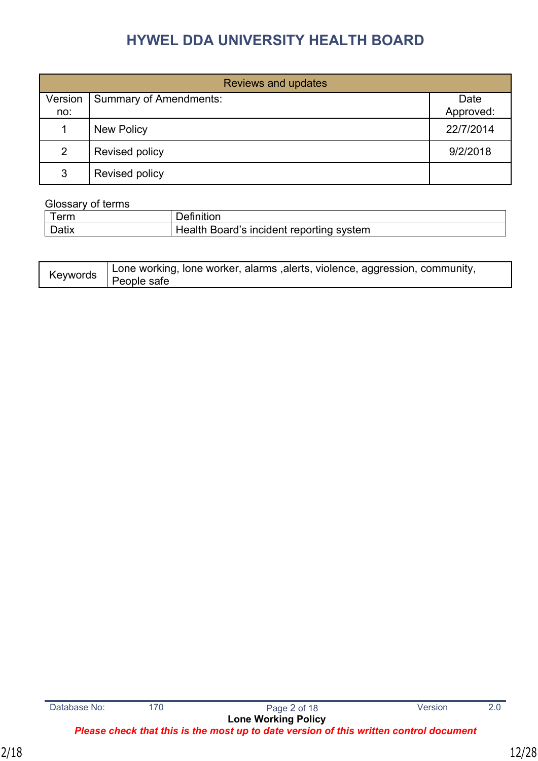| <b>Reviews and updates</b> |                               |           |  |  |  |
|----------------------------|-------------------------------|-----------|--|--|--|
| Version                    | <b>Summary of Amendments:</b> | Date      |  |  |  |
| no:                        |                               | Approved: |  |  |  |
|                            | <b>New Policy</b>             | 22/7/2014 |  |  |  |
| 2                          | Revised policy                | 9/2/2018  |  |  |  |
| 3                          | Revised policy                |           |  |  |  |

#### Glossary of terms

| -<br>erm | ⊶י                                                      |
|----------|---------------------------------------------------------|
| $D = 4$  | Board's incident<br>∶ reporting sys<br>system<br>Health |

| Lone working, lone worker, alarms , alerts, violence, aggression, community, |
|------------------------------------------------------------------------------|
| <sup>k∕</sup> ≏wwords   People safe                                          |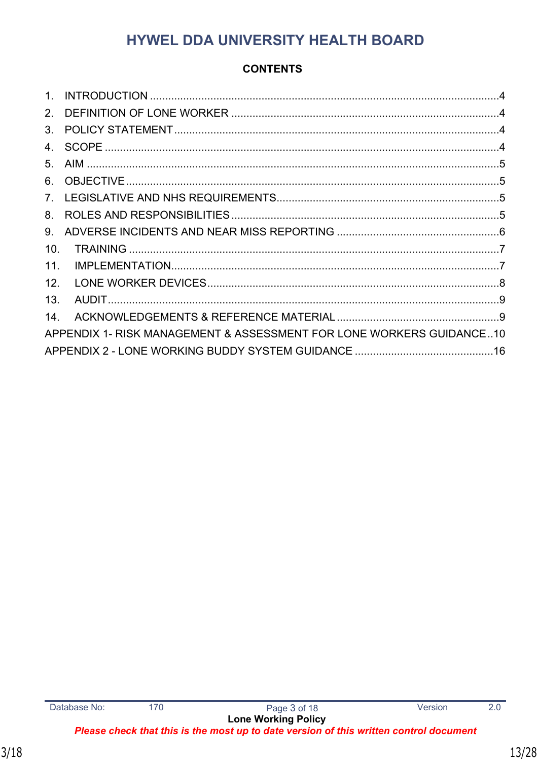### **CONTENTS**

| $1_{-}$        |                                                                      |  |
|----------------|----------------------------------------------------------------------|--|
| 2 <sub>1</sub> |                                                                      |  |
| 3 <sub>1</sub> |                                                                      |  |
| $4_{-}$        |                                                                      |  |
| 5 <sub>1</sub> |                                                                      |  |
| 6.             |                                                                      |  |
| 7 <sub>1</sub> |                                                                      |  |
| 8.             |                                                                      |  |
| 9.             |                                                                      |  |
| 10.            |                                                                      |  |
| 11.            |                                                                      |  |
| 12.            |                                                                      |  |
| 13.            |                                                                      |  |
| 14.            |                                                                      |  |
|                | APPENDIX 1- RISK MANAGEMENT & ASSESSMENT FOR LONE WORKERS GUIDANCE10 |  |
|                |                                                                      |  |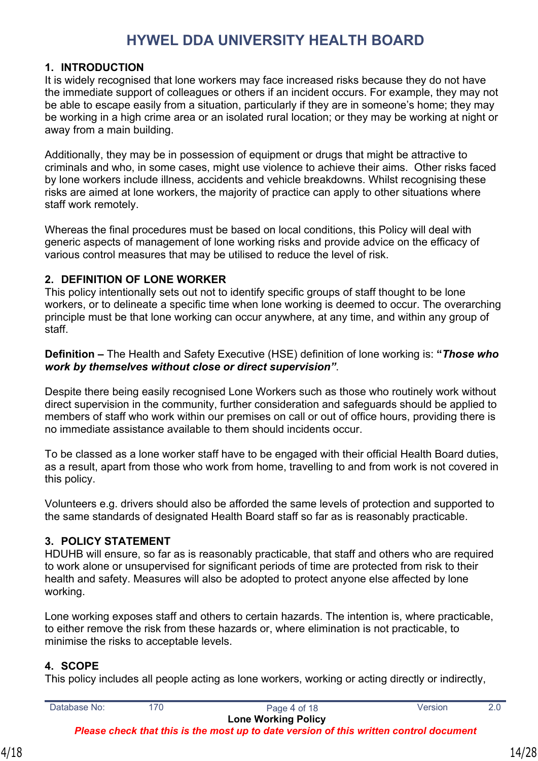#### <span id="page-13-0"></span>**1. INTRODUCTION**

It is widely recognised that lone workers may face increased risks because they do not have the immediate support of colleagues or others if an incident occurs. For example, they may not be able to escape easily from a situation, particularly if they are in someone's home; they may be working in a high crime area or an isolated rural location; or they may be working at night or away from a main building.

Additionally, they may be in possession of equipment or drugs that might be attractive to criminals and who, in some cases, might use violence to achieve their aims. Other risks faced by lone workers include illness, accidents and vehicle breakdowns. Whilst recognising these risks are aimed at lone workers, the majority of practice can apply to other situations where staff work remotely.

Whereas the final procedures must be based on local conditions, this Policy will deal with generic aspects of management of lone working risks and provide advice on the efficacy of various control measures that may be utilised to reduce the level of risk.

#### <span id="page-13-1"></span>**2. DEFINITION OF LONE WORKER**

This policy intentionally sets out not to identify specific groups of staff thought to be lone workers, or to delineate a specific time when lone working is deemed to occur. The overarching principle must be that lone working can occur anywhere, at any time, and within any group of staff.

**Definition –** The Health and Safety Executive (HSE) definition of lone working is: **"***Those who work by themselves without close or direct supervision"*.

Despite there being easily recognised Lone Workers such as those who routinely work without direct supervision in the community, further consideration and safeguards should be applied to members of staff who work within our premises on call or out of office hours, providing there is no immediate assistance available to them should incidents occur.

To be classed as a lone worker staff have to be engaged with their official Health Board duties, as a result, apart from those who work from home, travelling to and from work is not covered in this policy.

Volunteers e.g. drivers should also be afforded the same levels of protection and supported to the same standards of designated Health Board staff so far as is reasonably practicable.

### <span id="page-13-2"></span>**3. POLICY STATEMENT**

HDUHB will ensure, so far as is reasonably practicable, that staff and others who are required to work alone or unsupervised for significant periods of time are protected from risk to their health and safety. Measures will also be adopted to protect anyone else affected by lone working.

Lone working exposes staff and others to certain hazards. The intention is, where practicable, to either remove the risk from these hazards or, where elimination is not practicable, to minimise the risks to acceptable levels.

### <span id="page-13-3"></span>**4. SCOPE**

This policy includes all people acting as lone workers, working or acting directly or indirectly,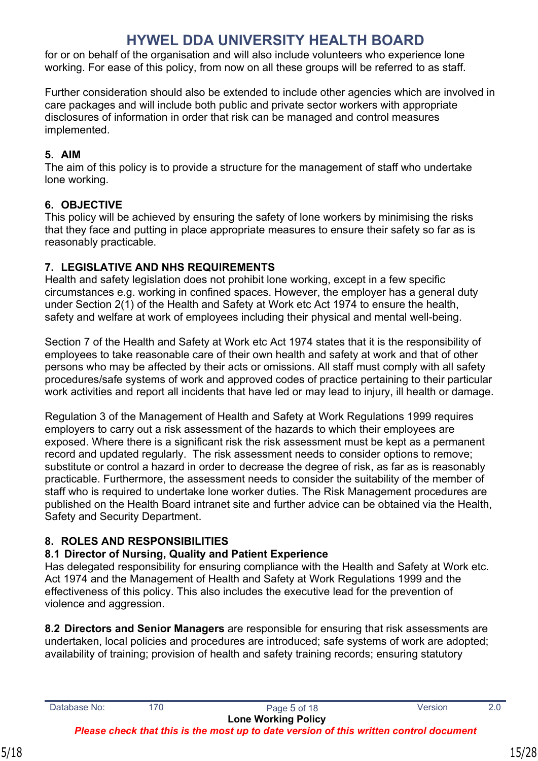for or on behalf of the organisation and will also include volunteers who experience lone working. For ease of this policy, from now on all these groups will be referred to as staff.

Further consideration should also be extended to include other agencies which are involved in care packages and will include both public and private sector workers with appropriate disclosures of information in order that risk can be managed and control measures implemented.

### <span id="page-14-0"></span>**5. AIM**

The aim of this policy is to provide a structure for the management of staff who undertake lone working.

### <span id="page-14-1"></span>**6. OBJECTIVE**

This policy will be achieved by ensuring the safety of lone workers by minimising the risks that they face and putting in place appropriate measures to ensure their safety so far as is reasonably practicable.

### <span id="page-14-2"></span>**7. LEGISLATIVE AND NHS REQUIREMENTS**

Health and safety legislation does not prohibit lone working, except in a few specific circumstances e.g. working in confined spaces. However, the employer has a general duty under Section 2(1) of the Health and Safety at Work etc Act 1974 to ensure the health, safety and welfare at work of employees including their physical and mental well-being.

Section 7 of the Health and Safety at Work etc Act 1974 states that it is the responsibility of employees to take reasonable care of their own health and safety at work and that of other persons who may be affected by their acts or omissions. All staff must comply with all safety procedures/safe systems of work and approved codes of practice pertaining to their particular work activities and report all incidents that have led or may lead to injury, ill health or damage.

Regulation 3 of the Management of Health and Safety at Work Regulations 1999 requires employers to carry out a risk assessment of the hazards to which their employees are exposed. Where there is a significant risk the risk assessment must be kept as a permanent record and updated regularly. The risk assessment needs to consider options to remove; substitute or control a hazard in order to decrease the degree of risk, as far as is reasonably practicable. Furthermore, the assessment needs to consider the suitability of the member of staff who is required to undertake lone worker duties. The Risk Management procedures are published on the Health Board intranet site and further advice can be obtained via the Health, Safety and Security Department.

### <span id="page-14-3"></span>**8. ROLES AND RESPONSIBILITIES**

### **8.1 Director of Nursing, Quality and Patient Experience**

Has delegated responsibility for ensuring compliance with the Health and Safety at Work etc. Act 1974 and the Management of Health and Safety at Work Regulations 1999 and the effectiveness of this policy. This also includes the executive lead for the prevention of violence and aggression.

**8.2 Directors and Senior Managers** are responsible for ensuring that risk assessments are undertaken, local policies and procedures are introduced; safe systems of work are adopted; availability of training; provision of health and safety training records; ensuring statutory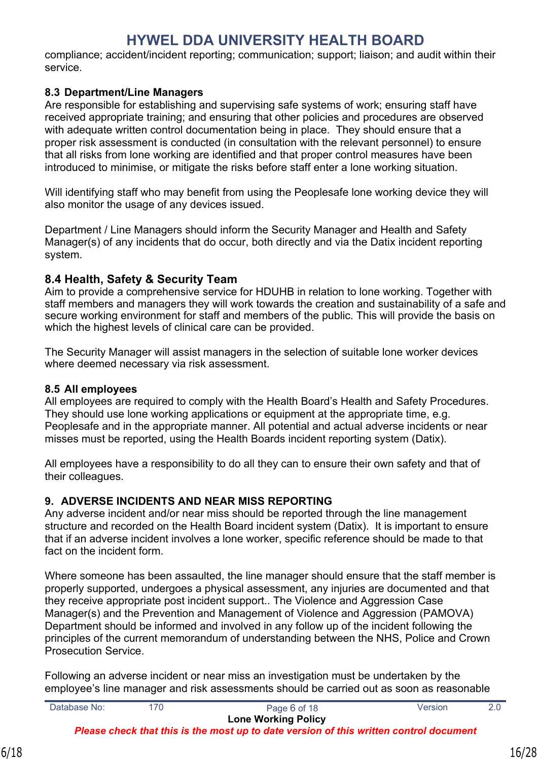compliance; accident/incident reporting; communication; support; liaison; and audit within their service.

#### **8.3 Department/Line Managers**

Are responsible for establishing and supervising safe systems of work; ensuring staff have received appropriate training; and ensuring that other policies and procedures are observed with adequate written control documentation being in place. They should ensure that a proper risk assessment is conducted (in consultation with the relevant personnel) to ensure that all risks from lone working are identified and that proper control measures have been introduced to minimise, or mitigate the risks before staff enter a lone working situation.

Will identifying staff who may benefit from using the Peoplesafe lone working device they will also monitor the usage of any devices issued.

Department / Line Managers should inform the Security Manager and Health and Safety Manager(s) of any incidents that do occur, both directly and via the Datix incident reporting system.

### **8.4 Health, Safety & Security Team**

Aim to provide a comprehensive service for HDUHB in relation to lone working. Together with staff members and managers they will work towards the creation and sustainability of a safe and secure working environment for staff and members of the public. This will provide the basis on which the highest levels of clinical care can be provided.

The Security Manager will assist managers in the selection of suitable lone worker devices where deemed necessary via risk assessment.

#### **8.5 All employees**

All employees are required to comply with the Health Board's Health and Safety Procedures. They should use lone working applications or equipment at the appropriate time, e.g. Peoplesafe and in the appropriate manner. All potential and actual adverse incidents or near misses must be reported, using the Health Boards incident reporting system (Datix).

All employees have a responsibility to do all they can to ensure their own safety and that of their colleagues.

#### <span id="page-15-0"></span>**9. ADVERSE INCIDENTS AND NEAR MISS REPORTING**

Any adverse incident and/or near miss should be reported through the line management structure and recorded on the Health Board incident system (Datix). It is important to ensure that if an adverse incident involves a lone worker, specific reference should be made to that fact on the incident form.

Where someone has been assaulted, the line manager should ensure that the staff member is properly supported, undergoes a physical assessment, any injuries are documented and that they receive appropriate post incident support.. The Violence and Aggression Case Manager(s) and the Prevention and Management of Violence and Aggression (PAMOVA) Department should be informed and involved in any follow up of the incident following the principles of the current memorandum of understanding between the NHS, Police and Crown Prosecution Service.

Following an adverse incident or near miss an investigation must be undertaken by the employee's line manager and risk assessments should be carried out as soon as reasonable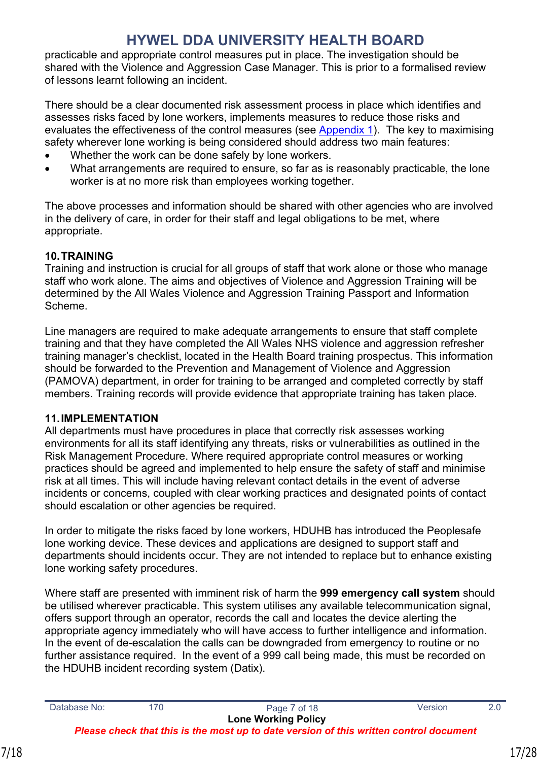practicable and appropriate control measures put in place. The investigation should be shared with the Violence and Aggression Case Manager. This is prior to a formalised review of lessons learnt following an incident.

There should be a clear documented risk assessment process in place which identifies and assesses risks faced by lone workers, implements measures to reduce those risks and evaluates the effectiveness of the control measures (see [Appendix 1](#page-19-0)). The key to maximising safety wherever lone working is being considered should address two main features:

- Whether the work can be done safely by lone workers.
- What arrangements are required to ensure, so far as is reasonably practicable, the lone worker is at no more risk than employees working together.

The above processes and information should be shared with other agencies who are involved in the delivery of care, in order for their staff and legal obligations to be met, where appropriate.

### <span id="page-16-0"></span>**10.TRAINING**

Training and instruction is crucial for all groups of staff that work alone or those who manage staff who work alone. The aims and objectives of Violence and Aggression Training will be determined by the All Wales Violence and Aggression Training Passport and Information Scheme.

Line managers are required to make adequate arrangements to ensure that staff complete training and that they have completed the All Wales NHS violence and aggression refresher training manager's checklist, located in the Health Board training prospectus. This information should be forwarded to the Prevention and Management of Violence and Aggression (PAMOVA) department, in order for training to be arranged and completed correctly by staff members. Training records will provide evidence that appropriate training has taken place.

#### <span id="page-16-1"></span>**11.IMPLEMENTATION**

All departments must have procedures in place that correctly risk assesses working environments for all its staff identifying any threats, risks or vulnerabilities as outlined in the Risk Management Procedure. Where required appropriate control measures or working practices should be agreed and implemented to help ensure the safety of staff and minimise risk at all times. This will include having relevant contact details in the event of adverse incidents or concerns, coupled with clear working practices and designated points of contact should escalation or other agencies be required.

In order to mitigate the risks faced by lone workers, HDUHB has introduced the Peoplesafe lone working device. These devices and applications are designed to support staff and departments should incidents occur. They are not intended to replace but to enhance existing lone working safety procedures.

Where staff are presented with imminent risk of harm the **999 emergency call system** should be utilised wherever practicable. This system utilises any available telecommunication signal, offers support through an operator, records the call and locates the device alerting the appropriate agency immediately who will have access to further intelligence and information. In the event of de-escalation the calls can be downgraded from emergency to routine or no further assistance required. In the event of a 999 call being made, this must be recorded on the HDUHB incident recording system (Datix).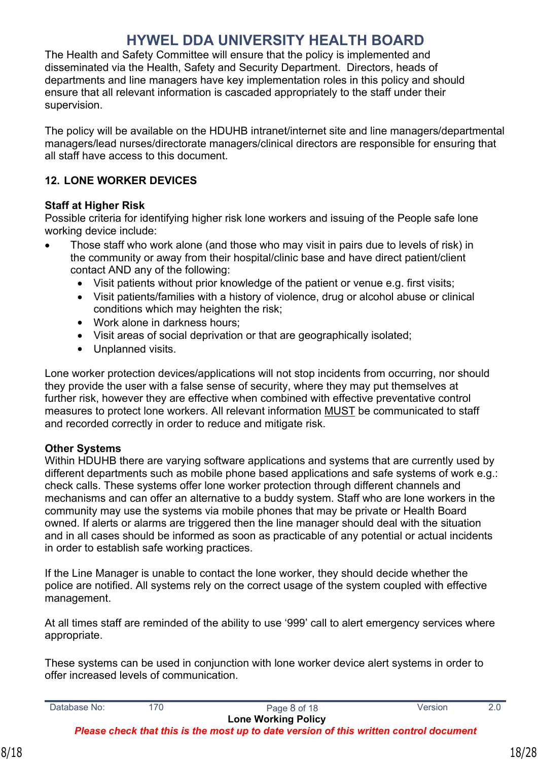The Health and Safety Committee will ensure that the policy is implemented and disseminated via the Health, Safety and Security Department. Directors, heads of departments and line managers have key implementation roles in this policy and should ensure that all relevant information is cascaded appropriately to the staff under their supervision.

The policy will be available on the HDUHB intranet/internet site and line managers/departmental managers/lead nurses/directorate managers/clinical directors are responsible for ensuring that all staff have access to this document.

### <span id="page-17-0"></span>**12. LONE WORKER DEVICES**

#### **Staff at Higher Risk**

Possible criteria for identifying higher risk lone workers and issuing of the People safe lone working device include:

- Those staff who work alone (and those who may visit in pairs due to levels of risk) in the community or away from their hospital/clinic base and have direct patient/client contact AND any of the following:
	- Visit patients without prior knowledge of the patient or venue e.g. first visits;
	- Visit patients/families with a history of violence, drug or alcohol abuse or clinical conditions which may heighten the risk;
	- Work alone in darkness hours:
	- Visit areas of social deprivation or that are geographically isolated;
	- Unplanned visits.

Lone worker protection devices/applications will not stop incidents from occurring, nor should they provide the user with a false sense of security, where they may put themselves at further risk, however they are effective when combined with effective preventative control measures to protect lone workers. All relevant information MUST be communicated to staff and recorded correctly in order to reduce and mitigate risk.

#### **Other Systems**

Within HDUHB there are varying software applications and systems that are currently used by different departments such as mobile phone based applications and safe systems of work e.g.: check calls. These systems offer lone worker protection through different channels and mechanisms and can offer an alternative to a buddy system. Staff who are lone workers in the community may use the systems via mobile phones that may be private or Health Board owned. If alerts or alarms are triggered then the line manager should deal with the situation and in all cases should be informed as soon as practicable of any potential or actual incidents in order to establish safe working practices.

If the Line Manager is unable to contact the lone worker, they should decide whether the police are notified. All systems rely on the correct usage of the system coupled with effective management.

At all times staff are reminded of the ability to use '999' call to alert emergency services where appropriate.

These systems can be used in conjunction with lone worker device alert systems in order to offer increased levels of communication.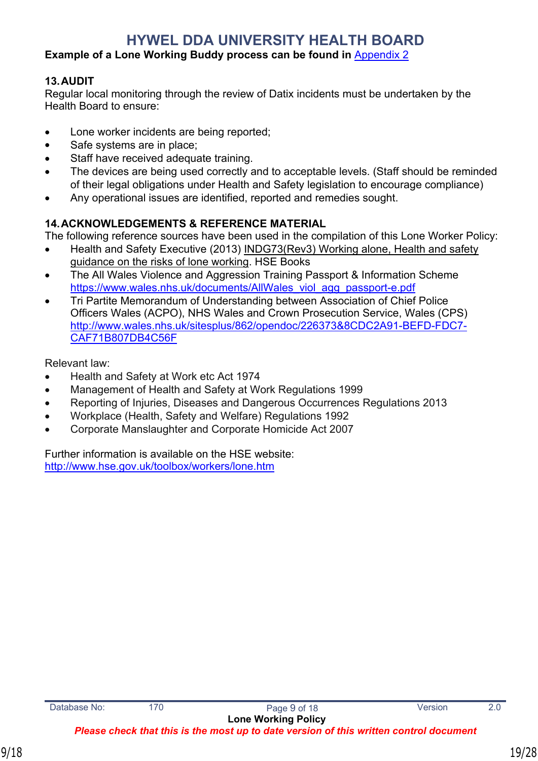#### **Example of a Lone Working Buddy process can be found in** [Appendix 2](#page-25-0)

#### <span id="page-18-0"></span>**13.AUDIT**

Regular local monitoring through the review of Datix incidents must be undertaken by the Health Board to ensure:

- Lone worker incidents are being reported;
- Safe systems are in place;
- Staff have received adequate training.
- The devices are being used correctly and to acceptable levels. (Staff should be reminded of their legal obligations under Health and Safety legislation to encourage compliance)
- Any operational issues are identified, reported and remedies sought.

#### <span id="page-18-1"></span>**14.ACKNOWLEDGEMENTS & REFERENCE MATERIAL**

The following reference sources have been used in the compilation of this Lone Worker Policy:

- Health and Safety Executive (2013) INDG73(Rev3) Working alone, Health and safety guidance on the risks of lone working. HSE Books
- The All Wales Violence and Aggression Training Passport & Information Scheme https://www.wales.nhs.uk/documents/AllWales\_viol\_agg\_passport-e.pdf
- Tri Partite Memorandum of Understanding between Association of Chief Police Officers Wales (ACPO), NHS Wales and Crown Prosecution Service, Wales (CPS) [http://www.wales.nhs.uk/sitesplus/862/opendoc/226373&8CDC2A91-BEFD-FDC7-](http://www.wales.nhs.uk/sitesplus/862/opendoc/226373&8CDC2A91-BEFD-FDC7-CAF71B807DB4C56F) [CAF71B807DB4C56F](http://www.wales.nhs.uk/sitesplus/862/opendoc/226373&8CDC2A91-BEFD-FDC7-CAF71B807DB4C56F)

Relevant law:

- Health and Safety at Work etc Act 1974
- Management of Health and Safety at Work Regulations 1999
- Reporting of Injuries, Diseases and Dangerous Occurrences Regulations 2013
- Workplace (Health, Safety and Welfare) Regulations 1992
- Corporate Manslaughter and Corporate Homicide Act 2007

Further information is available on the HSE website: http://www.hse.gov.uk/toolbox/workers/lone.htm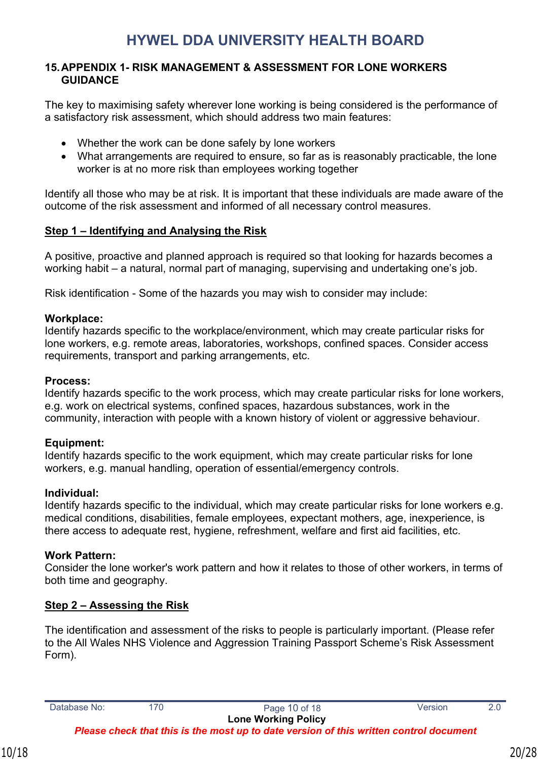#### <span id="page-19-0"></span>**15.APPENDIX 1- RISK MANAGEMENT & ASSESSMENT FOR LONE WORKERS GUIDANCE**

The key to maximising safety wherever lone working is being considered is the performance of a satisfactory risk assessment, which should address two main features:

- Whether the work can be done safely by lone workers
- What arrangements are required to ensure, so far as is reasonably practicable, the lone worker is at no more risk than employees working together

Identify all those who may be at risk. It is important that these individuals are made aware of the outcome of the risk assessment and informed of all necessary control measures.

#### **Step 1 – Identifying and Analysing the Risk**

A positive, proactive and planned approach is required so that looking for hazards becomes a working habit – a natural, normal part of managing, supervising and undertaking one's job.

Risk identification - Some of the hazards you may wish to consider may include:

#### **Workplace:**

Identify hazards specific to the workplace/environment, which may create particular risks for lone workers, e.g. remote areas, laboratories, workshops, confined spaces. Consider access requirements, transport and parking arrangements, etc.

#### **Process:**

Identify hazards specific to the work process, which may create particular risks for lone workers, e.g. work on electrical systems, confined spaces, hazardous substances, work in the community, interaction with people with a known history of violent or aggressive behaviour.

#### **Equipment:**

Identify hazards specific to the work equipment, which may create particular risks for lone workers, e.g. manual handling, operation of essential/emergency controls.

#### **Individual:**

Identify hazards specific to the individual, which may create particular risks for lone workers e.g. medical conditions, disabilities, female employees, expectant mothers, age, inexperience, is there access to adequate rest, hygiene, refreshment, welfare and first aid facilities, etc.

### **Work Pattern:**

Consider the lone worker's work pattern and how it relates to those of other workers, in terms of both time and geography.

### **Step 2 – Assessing the Risk**

The identification and assessment of the risks to people is particularly important. (Please refer to the All Wales NHS Violence and Aggression Training Passport Scheme's Risk Assessment Form).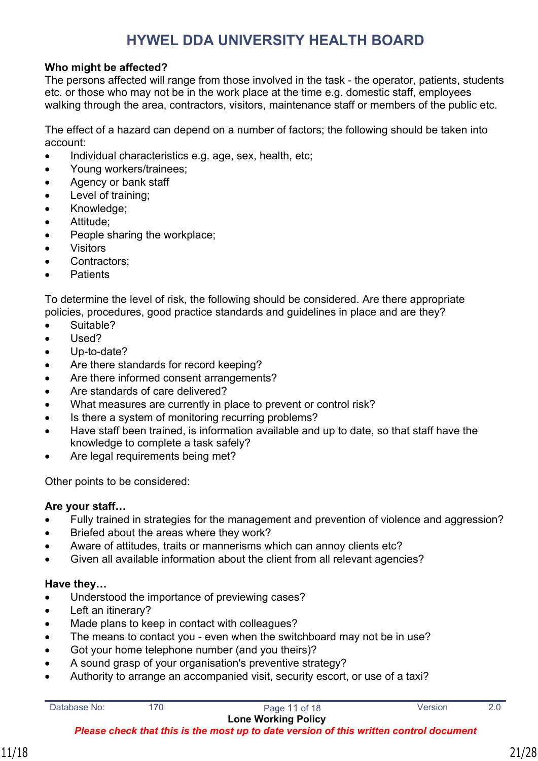#### **Who might be affected?**

The persons affected will range from those involved in the task - the operator, patients, students etc. or those who may not be in the work place at the time e.g. domestic staff, employees walking through the area, contractors, visitors, maintenance staff or members of the public etc.

The effect of a hazard can depend on a number of factors; the following should be taken into account:

- Individual characteristics e.g. age, sex, health, etc;
- Young workers/trainees;
- Agency or bank staff
- Level of training;
- Knowledge;
- Attitude;
- People sharing the workplace;
- Visitors
- Contractors;
- **Patients**

To determine the level of risk, the following should be considered. Are there appropriate policies, procedures, good practice standards and guidelines in place and are they?

- Suitable?
- Used?
- Up-to-date?
- Are there standards for record keeping?
- Are there informed consent arrangements?
- Are standards of care delivered?
- What measures are currently in place to prevent or control risk?
- Is there a system of monitoring recurring problems?
- Have staff been trained, is information available and up to date, so that staff have the knowledge to complete a task safely?
- Are legal requirements being met?

Other points to be considered:

#### **Are your staff…**

- Fully trained in strategies for the management and prevention of violence and aggression?
- Briefed about the areas where they work?
- Aware of attitudes, traits or mannerisms which can annoy clients etc?
- Given all available information about the client from all relevant agencies?

#### **Have they…**

- Understood the importance of previewing cases?
- Left an itinerary?
- Made plans to keep in contact with colleagues?
- The means to contact you even when the switchboard may not be in use?
- Got your home telephone number (and you theirs)?
- A sound grasp of your organisation's preventive strategy?
- Authority to arrange an accompanied visit, security escort, or use of a taxi?

| Database No: |  |
|--------------|--|

170 Page 11 of 18 Version 2.0 **Lone Working Policy**

*Please check that this is the most up to date version of this written control document*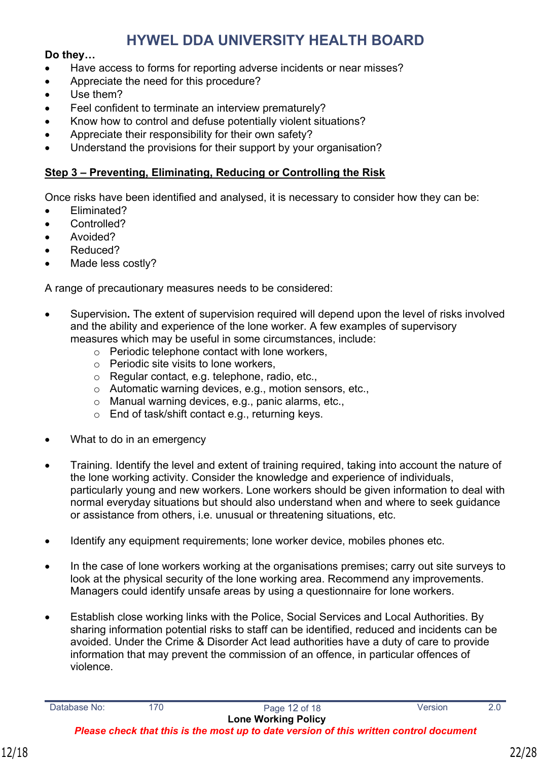#### **Do they…**

- Have access to forms for reporting adverse incidents or near misses?
- Appreciate the need for this procedure?
- Use them?
- Feel confident to terminate an interview prematurely?
- Know how to control and defuse potentially violent situations?
- Appreciate their responsibility for their own safety?
- Understand the provisions for their support by your organisation?

#### **Step 3 – Preventing, Eliminating, Reducing or Controlling the Risk**

Once risks have been identified and analysed, it is necessary to consider how they can be:

- Eliminated?
- Controlled?
- Avoided?
- Reduced?
- Made less costly?

A range of precautionary measures needs to be considered:

- Supervision**.** The extent of supervision required will depend upon the level of risks involved and the ability and experience of the lone worker. A few examples of supervisory measures which may be useful in some circumstances, include:
	- o Periodic telephone contact with lone workers,
	- o Periodic site visits to lone workers,
	- o Regular contact, e.g. telephone, radio, etc.,
	- o Automatic warning devices, e.g., motion sensors, etc.,
	- o Manual warning devices, e.g., panic alarms, etc.,
	- o End of task/shift contact e.g., returning keys.
- What to do in an emergency
- Training. Identify the level and extent of training required, taking into account the nature of the lone working activity. Consider the knowledge and experience of individuals, particularly young and new workers. Lone workers should be given information to deal with normal everyday situations but should also understand when and where to seek guidance or assistance from others, i.e. unusual or threatening situations, etc.
- Identify any equipment requirements; lone worker device, mobiles phones etc.
- In the case of lone workers working at the organisations premises; carry out site surveys to look at the physical security of the lone working area. Recommend any improvements. Managers could identify unsafe areas by using a questionnaire for lone workers.
- Establish close working links with the Police, Social Services and Local Authorities. By sharing information potential risks to staff can be identified, reduced and incidents can be avoided. Under the Crime & Disorder Act lead authorities have a duty of care to provide information that may prevent the commission of an offence, in particular offences of violence.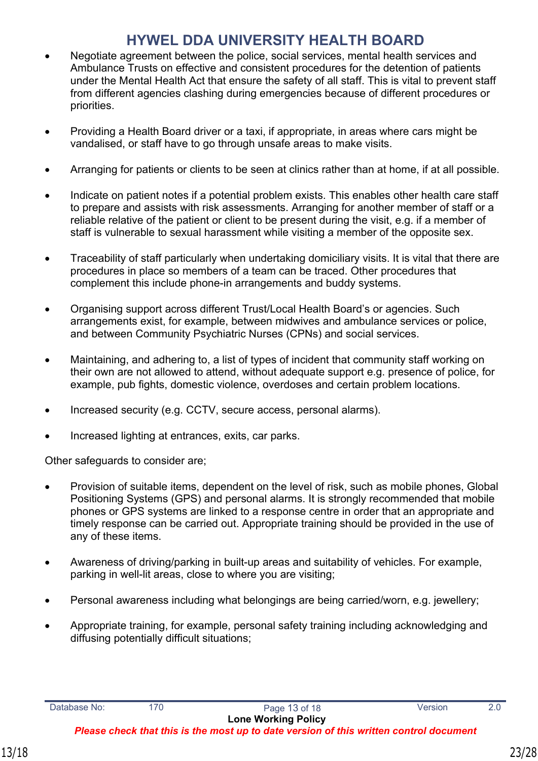- Negotiate agreement between the police, social services, mental health services and Ambulance Trusts on effective and consistent procedures for the detention of patients under the Mental Health Act that ensure the safety of all staff. This is vital to prevent staff from different agencies clashing during emergencies because of different procedures or priorities.
- Providing a Health Board driver or a taxi, if appropriate, in areas where cars might be vandalised, or staff have to go through unsafe areas to make visits.
- Arranging for patients or clients to be seen at clinics rather than at home, if at all possible.
- Indicate on patient notes if a potential problem exists. This enables other health care staff to prepare and assists with risk assessments. Arranging for another member of staff or a reliable relative of the patient or client to be present during the visit, e.g. if a member of staff is vulnerable to sexual harassment while visiting a member of the opposite sex.
- Traceability of staff particularly when undertaking domiciliary visits. It is vital that there are procedures in place so members of a team can be traced. Other procedures that complement this include phone-in arrangements and buddy systems.
- Organising support across different Trust/Local Health Board's or agencies. Such arrangements exist, for example, between midwives and ambulance services or police, and between Community Psychiatric Nurses (CPNs) and social services.
- Maintaining, and adhering to, a list of types of incident that community staff working on their own are not allowed to attend, without adequate support e.g. presence of police, for example, pub fights, domestic violence, overdoses and certain problem locations.
- Increased security (e.g. CCTV, secure access, personal alarms).
- Increased lighting at entrances, exits, car parks.

Other safeguards to consider are;

- Provision of suitable items, dependent on the level of risk, such as mobile phones, Global Positioning Systems (GPS) and personal alarms. It is strongly recommended that mobile phones or GPS systems are linked to a response centre in order that an appropriate and timely response can be carried out. Appropriate training should be provided in the use of any of these items.
- Awareness of driving/parking in built-up areas and suitability of vehicles. For example, parking in well-lit areas, close to where you are visiting;
- Personal awareness including what belongings are being carried/worn, e.g. jewellery;
- Appropriate training, for example, personal safety training including acknowledging and diffusing potentially difficult situations;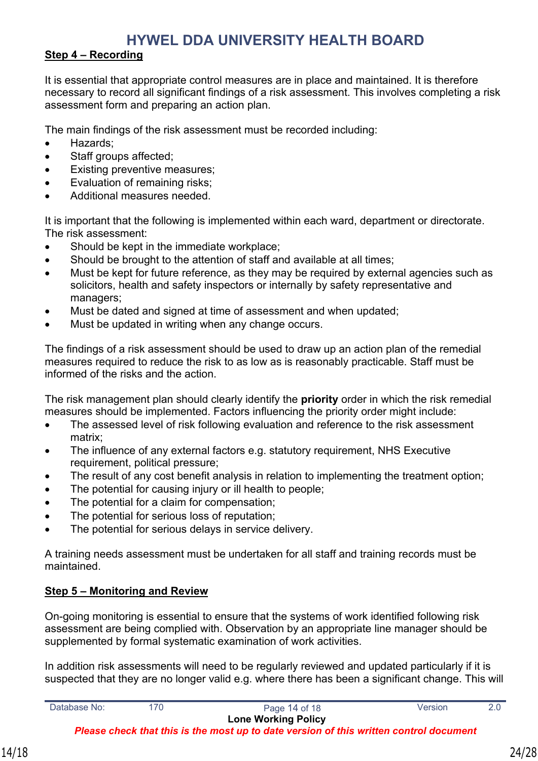#### **Step 4 – Recording**

It is essential that appropriate control measures are in place and maintained. It is therefore necessary to record all significant findings of a risk assessment. This involves completing a risk assessment form and preparing an action plan.

The main findings of the risk assessment must be recorded including:

- Hazards:
- Staff groups affected;
- Existing preventive measures;
- Evaluation of remaining risks;
- Additional measures needed.

It is important that the following is implemented within each ward, department or directorate. The risk assessment:

- Should be kept in the immediate workplace;
- Should be brought to the attention of staff and available at all times;
- Must be kept for future reference, as they may be required by external agencies such as solicitors, health and safety inspectors or internally by safety representative and managers;
- Must be dated and signed at time of assessment and when updated;
- Must be updated in writing when any change occurs.

The findings of a risk assessment should be used to draw up an action plan of the remedial measures required to reduce the risk to as low as is reasonably practicable. Staff must be informed of the risks and the action.

The risk management plan should clearly identify the **priority** order in which the risk remedial measures should be implemented. Factors influencing the priority order might include:

- The assessed level of risk following evaluation and reference to the risk assessment matrix;
- The influence of any external factors e.g. statutory requirement, NHS Executive requirement, political pressure;
- The result of any cost benefit analysis in relation to implementing the treatment option;
- The potential for causing injury or ill health to people;
- The potential for a claim for compensation;
- The potential for serious loss of reputation;
- The potential for serious delays in service delivery.

A training needs assessment must be undertaken for all staff and training records must be maintained.

#### **Step 5 – Monitoring and Review**

On-going monitoring is essential to ensure that the systems of work identified following risk assessment are being complied with. Observation by an appropriate line manager should be supplemented by formal systematic examination of work activities.

In addition risk assessments will need to be regularly reviewed and updated particularly if it is suspected that they are no longer valid e.g. where there has been a significant change. This will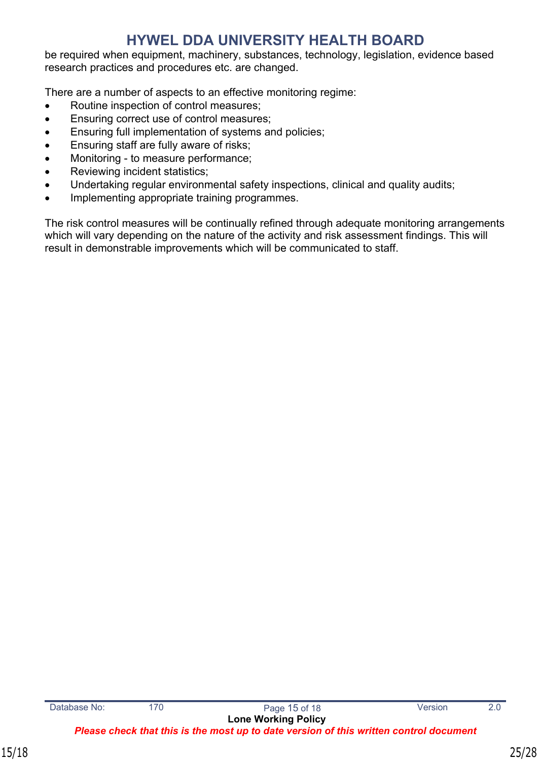be required when equipment, machinery, substances, technology, legislation, evidence based research practices and procedures etc. are changed.

There are a number of aspects to an effective monitoring regime:

- Routine inspection of control measures;
- **Ensuring correct use of control measures;**
- Ensuring full implementation of systems and policies;
- Ensuring staff are fully aware of risks;
- Monitoring to measure performance;
- Reviewing incident statistics;
- Undertaking regular environmental safety inspections, clinical and quality audits;
- Implementing appropriate training programmes.

The risk control measures will be continually refined through adequate monitoring arrangements which will vary depending on the nature of the activity and risk assessment findings. This will result in demonstrable improvements which will be communicated to staff.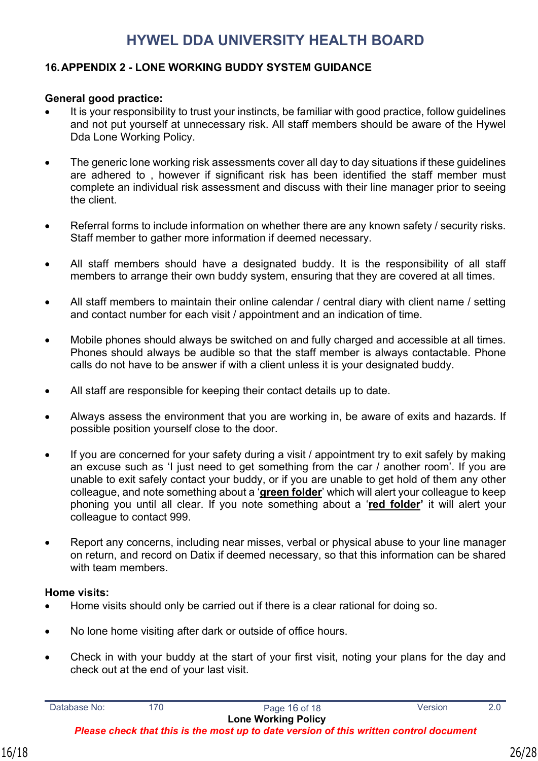### <span id="page-25-0"></span>**16.APPENDIX 2 - LONE WORKING BUDDY SYSTEM GUIDANCE**

#### **General good practice:**

- It is your responsibility to trust your instincts, be familiar with good practice, follow guidelines and not put yourself at unnecessary risk. All staff members should be aware of the Hywel Dda Lone Working Policy.
- The generic lone working risk assessments cover all day to day situations if these guidelines are adhered to , however if significant risk has been identified the staff member must complete an individual risk assessment and discuss with their line manager prior to seeing the client.
- Referral forms to include information on whether there are any known safety / security risks. Staff member to gather more information if deemed necessary.
- All staff members should have a designated buddy. It is the responsibility of all staff members to arrange their own buddy system, ensuring that they are covered at all times.
- All staff members to maintain their online calendar / central diary with client name / setting and contact number for each visit / appointment and an indication of time.
- Mobile phones should always be switched on and fully charged and accessible at all times. Phones should always be audible so that the staff member is always contactable. Phone calls do not have to be answer if with a client unless it is your designated buddy.
- All staff are responsible for keeping their contact details up to date.
- Always assess the environment that you are working in, be aware of exits and hazards. If possible position yourself close to the door.
- If you are concerned for your safety during a visit / appointment try to exit safely by making an excuse such as 'I just need to get something from the car / another room'. If you are unable to exit safely contact your buddy, or if you are unable to get hold of them any other colleague, and note something about a '**green folder**' which will alert your colleague to keep phoning you until all clear. If you note something about a '**red folder'** it will alert your colleague to contact 999.
- Report any concerns, including near misses, verbal or physical abuse to your line manager on return, and record on Datix if deemed necessary, so that this information can be shared with team members.

#### **Home visits:**

- Home visits should only be carried out if there is a clear rational for doing so.
- No lone home visiting after dark or outside of office hours.
- Check in with your buddy at the start of your first visit, noting your plans for the day and check out at the end of your last visit.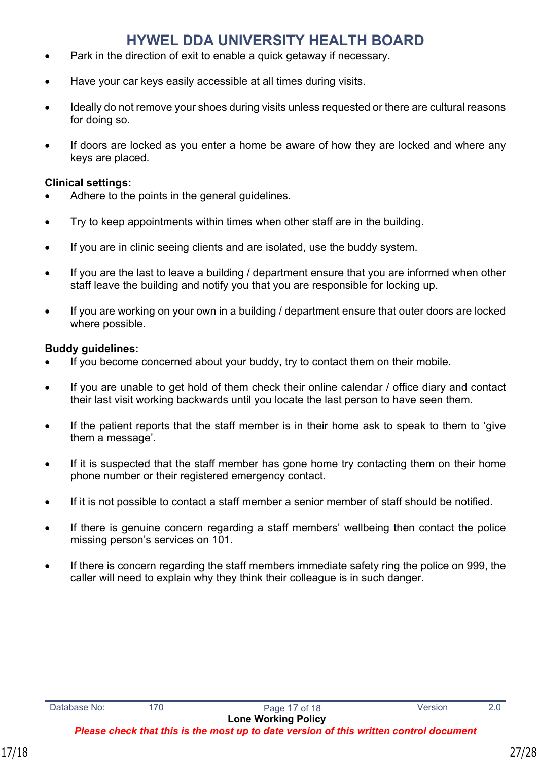- Park in the direction of exit to enable a quick getaway if necessary.
- Have your car keys easily accessible at all times during visits.
- Ideally do not remove your shoes during visits unless requested or there are cultural reasons for doing so.
- If doors are locked as you enter a home be aware of how they are locked and where any keys are placed.

#### **Clinical settings:**

- Adhere to the points in the general guidelines.
- Try to keep appointments within times when other staff are in the building.
- If you are in clinic seeing clients and are isolated, use the buddy system.
- If you are the last to leave a building / department ensure that you are informed when other staff leave the building and notify you that you are responsible for locking up.
- If you are working on your own in a building / department ensure that outer doors are locked where possible.

#### **Buddy guidelines:**

- If you become concerned about your buddy, try to contact them on their mobile.
- If you are unable to get hold of them check their online calendar / office diary and contact their last visit working backwards until you locate the last person to have seen them.
- If the patient reports that the staff member is in their home ask to speak to them to 'give them a message'.
- If it is suspected that the staff member has gone home try contacting them on their home phone number or their registered emergency contact.
- If it is not possible to contact a staff member a senior member of staff should be notified.
- If there is genuine concern regarding a staff members' wellbeing then contact the police missing person's services on 101.
- If there is concern regarding the staff members immediate safety ring the police on 999, the caller will need to explain why they think their colleague is in such danger.